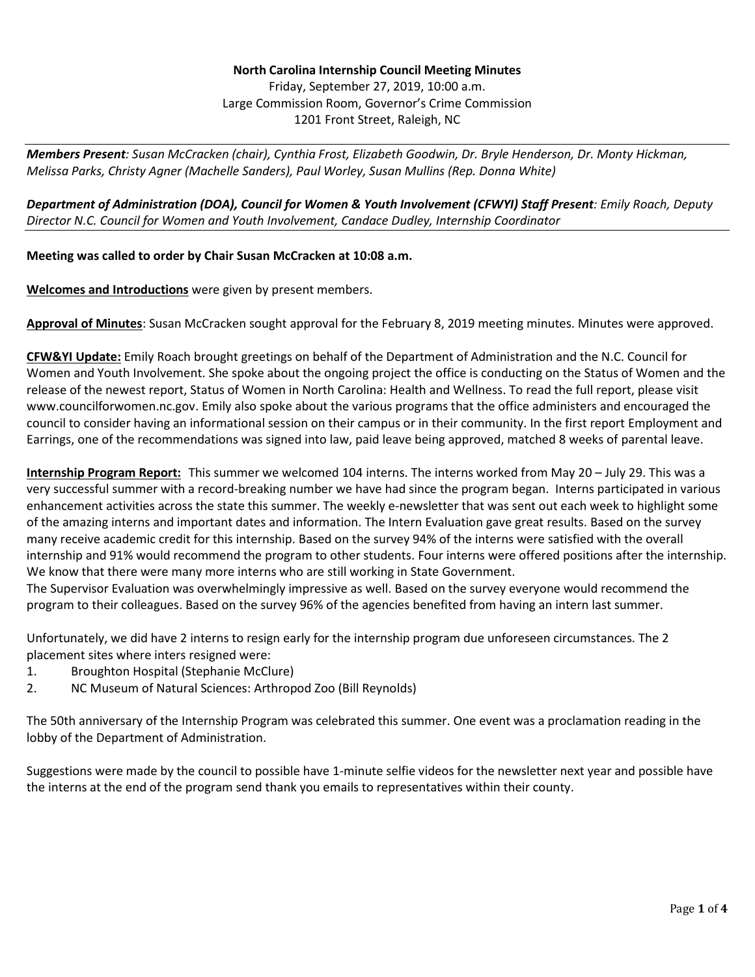## **North Carolina Internship Council Meeting Minutes** Friday, September 27, 2019, 10:00 a.m. Large Commission Room, Governor's Crime Commission 1201 Front Street, Raleigh, NC

*Members Present: Susan McCracken (chair), Cynthia Frost, Elizabeth Goodwin, Dr. Bryle Henderson, Dr. Monty Hickman, Melissa Parks, Christy Agner (Machelle Sanders), Paul Worley, Susan Mullins (Rep. Donna White)* 

*Department of Administration (DOA), Council for Women & Youth Involvement (CFWYI) Staff Present: Emily Roach, Deputy Director N.C. Council for Women and Youth Involvement, Candace Dudley, Internship Coordinator* 

## **Meeting was called to order by Chair Susan McCracken at 10:08 a.m.**

**Welcomes and Introductions** were given by present members.

**Approval of Minutes**: Susan McCracken sought approval for the February 8, 2019 meeting minutes. Minutes were approved.

**CFW&YI Update:** Emily Roach brought greetings on behalf of the Department of Administration and the N.C. Council for Women and Youth Involvement. She spoke about the ongoing project the office is conducting on the Status of Women and the release of the newest report, Status of Women in North Carolina: Health and Wellness. To read the full report, please visit www.councilforwomen.nc.gov. Emily also spoke about the various programs that the office administers and encouraged the council to consider having an informational session on their campus or in their community. In the first report Employment and Earrings, one of the recommendations was signed into law, paid leave being approved, matched 8 weeks of parental leave.

**Internship Program Report:** This summer we welcomed 104 interns. The interns worked from May 20 – July 29. This was a very successful summer with a record-breaking number we have had since the program began. Interns participated in various enhancement activities across the state this summer. The weekly e-newsletter that was sent out each week to highlight some of the amazing interns and important dates and information. The Intern Evaluation gave great results. Based on the survey many receive academic credit for this internship. Based on the survey 94% of the interns were satisfied with the overall internship and 91% would recommend the program to other students. Four interns were offered positions after the internship. We know that there were many more interns who are still working in State Government.

The Supervisor Evaluation was overwhelmingly impressive as well. Based on the survey everyone would recommend the program to their colleagues. Based on the survey 96% of the agencies benefited from having an intern last summer.

Unfortunately, we did have 2 interns to resign early for the internship program due unforeseen circumstances. The 2 placement sites where inters resigned were:

- 1. Broughton Hospital (Stephanie McClure)
- 2. NC Museum of Natural Sciences: Arthropod Zoo (Bill Reynolds)

The 50th anniversary of the Internship Program was celebrated this summer. One event was a proclamation reading in the lobby of the Department of Administration.

Suggestions were made by the council to possible have 1-minute selfie videos for the newsletter next year and possible have the interns at the end of the program send thank you emails to representatives within their county.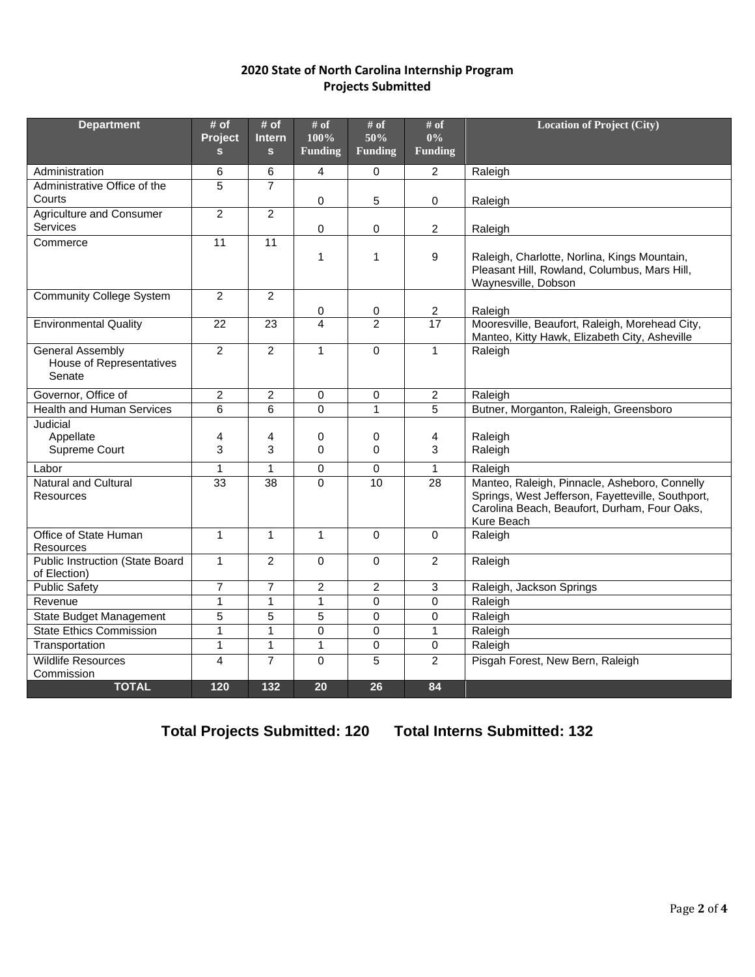## **2020 State of North Carolina Internship Program Projects Submitted**

| <b>Department</b>                                                    | # of<br>Project | # of<br><b>Intern</b> | # of<br>100%        | $\#$ of<br>50%      | # of<br>$0\%$                     | <b>Location of Project (City)</b>                                                                                                                                |
|----------------------------------------------------------------------|-----------------|-----------------------|---------------------|---------------------|-----------------------------------|------------------------------------------------------------------------------------------------------------------------------------------------------------------|
|                                                                      | $\mathbf{s}$    | $\mathbf{s}$          | <b>Funding</b>      | <b>Funding</b>      | <b>Funding</b>                    |                                                                                                                                                                  |
| Administration                                                       | 6               | 6                     | 4                   | 0                   | $\overline{2}$                    | Raleigh                                                                                                                                                          |
| Administrative Office of the                                         | 5               | $\overline{7}$        |                     |                     |                                   |                                                                                                                                                                  |
| Courts                                                               |                 |                       | 0                   | 5                   | 0                                 | Raleigh                                                                                                                                                          |
| Agriculture and Consumer<br>Services                                 | $\overline{2}$  | $\overline{2}$        | 0                   | 0                   | $\overline{2}$                    |                                                                                                                                                                  |
| Commerce                                                             | $\overline{11}$ | $\overline{11}$       |                     |                     |                                   | Raleigh                                                                                                                                                          |
|                                                                      |                 |                       | $\mathbf{1}$        | 1                   | 9                                 | Raleigh, Charlotte, Norlina, Kings Mountain,<br>Pleasant Hill, Rowland, Columbus, Mars Hill,<br>Waynesville, Dobson                                              |
| <b>Community College System</b>                                      | 2               | $\overline{2}$        |                     |                     |                                   |                                                                                                                                                                  |
|                                                                      | 22              | 23                    | 0<br>$\overline{4}$ | 0<br>$\overline{2}$ | $\overline{2}$<br>$\overline{17}$ | Raleigh<br>Mooresville, Beaufort, Raleigh, Morehead City,                                                                                                        |
| <b>Environmental Quality</b>                                         |                 |                       |                     |                     |                                   | Manteo, Kitty Hawk, Elizabeth City, Asheville                                                                                                                    |
| <b>General Assembly</b><br><b>House of Representatives</b><br>Senate | $\overline{2}$  | $\overline{2}$        | $\mathbf{1}$        | 0                   | $\mathbf{1}$                      | Raleigh                                                                                                                                                          |
| Governor, Office of                                                  | $\overline{2}$  | $\overline{c}$        | 0                   | 0                   | $\overline{c}$                    | Raleigh                                                                                                                                                          |
| <b>Health and Human Services</b>                                     | 6               | 6                     | $\Omega$            | $\overline{1}$      | $\overline{5}$                    | Butner, Morganton, Raleigh, Greensboro                                                                                                                           |
| Judicial                                                             |                 |                       |                     |                     |                                   |                                                                                                                                                                  |
| Appellate                                                            | 4               | 4                     | 0                   | 0                   | 4                                 | Raleigh                                                                                                                                                          |
| Supreme Court                                                        | 3               | 3                     | $\Omega$            | $\Omega$            | 3                                 | Raleigh                                                                                                                                                          |
| Labor                                                                | $\mathbf{1}$    | $\mathbf{1}$          | $\mathbf 0$         | $\Omega$            | $\mathbf{1}$                      | Raleigh                                                                                                                                                          |
| <b>Natural and Cultural</b><br><b>Resources</b>                      | $\overline{33}$ | $\overline{38}$       | $\Omega$            | 10                  | 28                                | Manteo, Raleigh, Pinnacle, Asheboro, Connelly<br>Springs, West Jefferson, Fayetteville, Southport,<br>Carolina Beach, Beaufort, Durham, Four Oaks,<br>Kure Beach |
| Office of State Human<br><b>Resources</b>                            | $\overline{1}$  | $\mathbf{1}$          | $\overline{1}$      | $\mathbf 0$         | $\overline{0}$                    | Raleigh                                                                                                                                                          |
| <b>Public Instruction (State Board</b><br>of Election)               | $\mathbf{1}$    | $\overline{2}$        | $\Omega$            | $\Omega$            | $\overline{2}$                    | Raleigh                                                                                                                                                          |
| <b>Public Safety</b>                                                 | $\overline{7}$  | $\overline{7}$        | $\overline{2}$      | $\overline{2}$      | 3                                 | Raleigh, Jackson Springs                                                                                                                                         |
| Revenue                                                              | $\mathbf{1}$    | $\mathbf{1}$          | $\mathbf{1}$        | 0                   | $\mathbf 0$                       | Raleigh                                                                                                                                                          |
| <b>State Budget Management</b>                                       | 5               | 5                     | 5                   | 0                   | $\mathbf 0$                       | Raleigh                                                                                                                                                          |
| <b>State Ethics Commission</b>                                       | $\mathbf{1}$    | 1                     | $\mathbf 0$         | $\Omega$            | $\mathbf{1}$                      | Raleigh                                                                                                                                                          |
| Transportation                                                       | $\mathbf{1}$    | $\mathbf{1}$          | $\overline{1}$      | $\overline{0}$      | $\overline{0}$                    | Raleigh                                                                                                                                                          |
| <b>Wildlife Resources</b>                                            | $\overline{4}$  | $\overline{7}$        | $\Omega$            | 5                   | 2                                 | Pisgah Forest, New Bern, Raleigh                                                                                                                                 |
| Commission                                                           |                 |                       |                     |                     |                                   |                                                                                                                                                                  |
| <b>TOTAL</b>                                                         | 120             | 132                   | 20                  | 26                  | 84                                |                                                                                                                                                                  |

**Total Projects Submitted: 120 Total Interns Submitted: 132**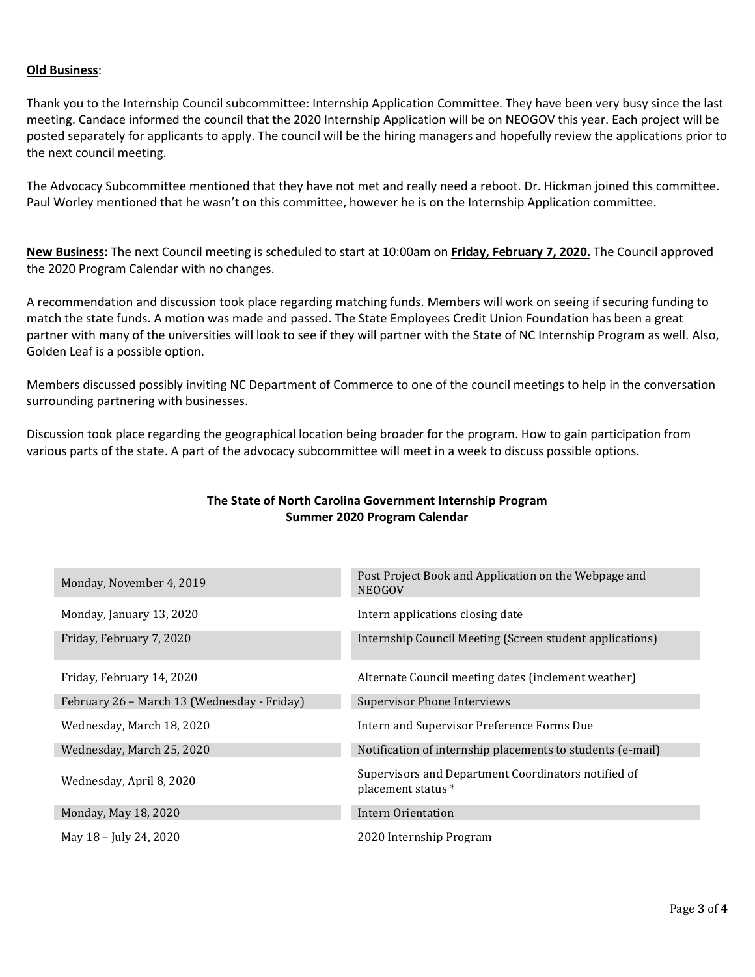## **Old Business**:

Thank you to the Internship Council subcommittee: Internship Application Committee. They have been very busy since the last meeting. Candace informed the council that the 2020 Internship Application will be on NEOGOV this year. Each project will be posted separately for applicants to apply. The council will be the hiring managers and hopefully review the applications prior to the next council meeting.

The Advocacy Subcommittee mentioned that they have not met and really need a reboot. Dr. Hickman joined this committee. Paul Worley mentioned that he wasn't on this committee, however he is on the Internship Application committee.

**New Business:** The next Council meeting is scheduled to start at 10:00am on **Friday, February 7, 2020.** The Council approved the 2020 Program Calendar with no changes.

A recommendation and discussion took place regarding matching funds. Members will work on seeing if securing funding to match the state funds. A motion was made and passed. The State Employees Credit Union Foundation has been a great partner with many of the universities will look to see if they will partner with the State of NC Internship Program as well. Also, Golden Leaf is a possible option.

Members discussed possibly inviting NC Department of Commerce to one of the council meetings to help in the conversation surrounding partnering with businesses.

Discussion took place regarding the geographical location being broader for the program. How to gain participation from various parts of the state. A part of the advocacy subcommittee will meet in a week to discuss possible options.

| The State of North Carolina Government Internship Program |
|-----------------------------------------------------------|
| Summer 2020 Program Calendar                              |

| Monday, November 4, 2019                    | Post Project Book and Application on the Webpage and<br><b>NEOGOV</b>     |  |  |  |
|---------------------------------------------|---------------------------------------------------------------------------|--|--|--|
| Monday, January 13, 2020                    | Intern applications closing date                                          |  |  |  |
| Friday, February 7, 2020                    | Internship Council Meeting (Screen student applications)                  |  |  |  |
| Friday, February 14, 2020                   | Alternate Council meeting dates (inclement weather)                       |  |  |  |
| February 26 - March 13 (Wednesday - Friday) | <b>Supervisor Phone Interviews</b>                                        |  |  |  |
| Wednesday, March 18, 2020                   | Intern and Supervisor Preference Forms Due                                |  |  |  |
| Wednesday, March 25, 2020                   | Notification of internship placements to students (e-mail)                |  |  |  |
| Wednesday, April 8, 2020                    | Supervisors and Department Coordinators notified of<br>placement status * |  |  |  |
| Monday, May 18, 2020                        | Intern Orientation                                                        |  |  |  |
| May 18 – July 24, 2020                      | 2020 Internship Program                                                   |  |  |  |